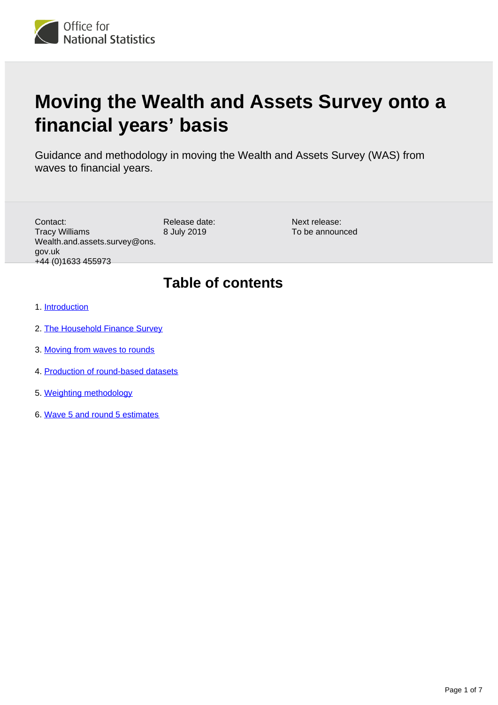

# **Moving the Wealth and Assets Survey onto a financial years' basis**

Guidance and methodology in moving the Wealth and Assets Survey (WAS) from waves to financial years.

Contact: Tracy Williams Wealth.and.assets.survey@ons. gov.uk +44 (0)1633 455973

Release date: 8 July 2019

Next release: To be announced

## **Table of contents**

- 1. [Introduction](#page-1-0)
- 2. [The Household Finance Survey](#page-1-1)
- 3. [Moving from waves to rounds](#page-2-0)
- 4. [Production of round-based datasets](#page-3-0)
- 5. [Weighting methodology](#page-3-1)
- 6. [Wave 5 and round 5 estimates](#page-5-0)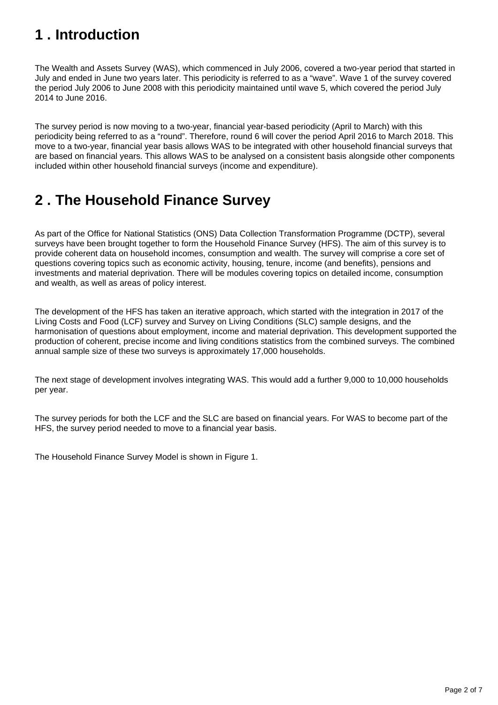## <span id="page-1-0"></span>**1 . Introduction**

The Wealth and Assets Survey (WAS), which commenced in July 2006, covered a two-year period that started in July and ended in June two years later. This periodicity is referred to as a "wave". Wave 1 of the survey covered the period July 2006 to June 2008 with this periodicity maintained until wave 5, which covered the period July 2014 to June 2016.

The survey period is now moving to a two-year, financial year-based periodicity (April to March) with this periodicity being referred to as a "round". Therefore, round 6 will cover the period April 2016 to March 2018. This move to a two-year, financial year basis allows WAS to be integrated with other household financial surveys that are based on financial years. This allows WAS to be analysed on a consistent basis alongside other components included within other household financial surveys (income and expenditure).

## <span id="page-1-1"></span>**2 . The Household Finance Survey**

As part of the Office for National Statistics (ONS) Data Collection Transformation Programme (DCTP), several surveys have been brought together to form the Household Finance Survey (HFS). The aim of this survey is to provide coherent data on household incomes, consumption and wealth. The survey will comprise a core set of questions covering topics such as economic activity, housing, tenure, income (and benefits), pensions and investments and material deprivation. There will be modules covering topics on detailed income, consumption and wealth, as well as areas of policy interest.

The development of the HFS has taken an iterative approach, which started with the integration in 2017 of the Living Costs and Food (LCF) survey and Survey on Living Conditions (SLC) sample designs, and the harmonisation of questions about employment, income and material deprivation. This development supported the production of coherent, precise income and living conditions statistics from the combined surveys. The combined annual sample size of these two surveys is approximately 17,000 households.

The next stage of development involves integrating WAS. This would add a further 9,000 to 10,000 households per year.

The survey periods for both the LCF and the SLC are based on financial years. For WAS to become part of the HFS, the survey period needed to move to a financial year basis.

The Household Finance Survey Model is shown in Figure 1.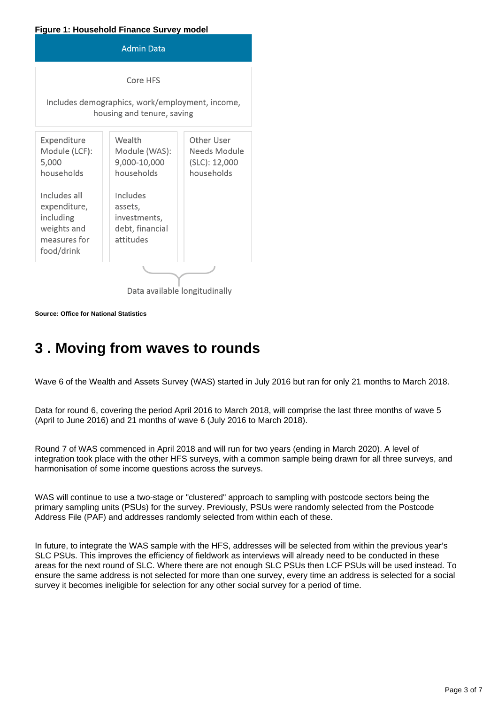#### **Figure 1: Household Finance Survey model**



Data available longitudinally

**Source: Office for National Statistics**

## <span id="page-2-0"></span>**3 . Moving from waves to rounds**

Wave 6 of the Wealth and Assets Survey (WAS) started in July 2016 but ran for only 21 months to March 2018.

Data for round 6, covering the period April 2016 to March 2018, will comprise the last three months of wave 5 (April to June 2016) and 21 months of wave 6 (July 2016 to March 2018).

Round 7 of WAS commenced in April 2018 and will run for two years (ending in March 2020). A level of integration took place with the other HFS surveys, with a common sample being drawn for all three surveys, and harmonisation of some income questions across the surveys.

WAS will continue to use a two-stage or "clustered" approach to sampling with postcode sectors being the primary sampling units (PSUs) for the survey. Previously, PSUs were randomly selected from the Postcode Address File (PAF) and addresses randomly selected from within each of these.

In future, to integrate the WAS sample with the HFS, addresses will be selected from within the previous year's SLC PSUs. This improves the efficiency of fieldwork as interviews will already need to be conducted in these areas for the next round of SLC. Where there are not enough SLC PSUs then LCF PSUs will be used instead. To ensure the same address is not selected for more than one survey, every time an address is selected for a social survey it becomes ineligible for selection for any other social survey for a period of time.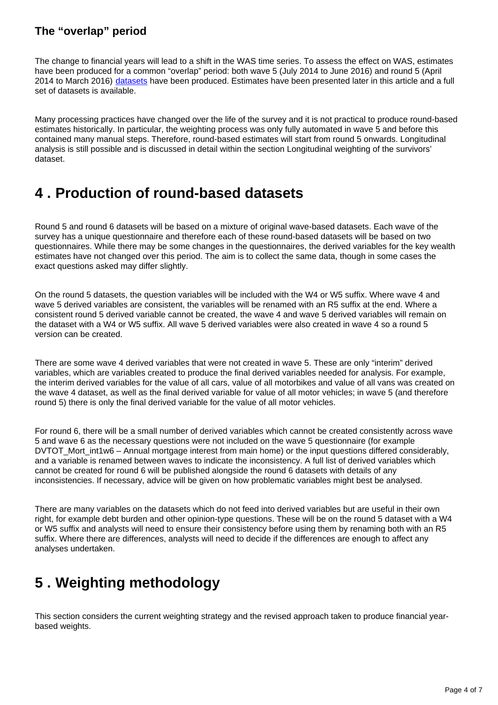### **The "overlap" period**

The change to financial years will lead to a shift in the WAS time series. To assess the effect on WAS, estimates have been produced for a common "overlap" period: both wave 5 (July 2014 to June 2016) and round 5 (April 2014 to March 2016) [datasets](https://www.ons.gov.uk/peoplepopulationandcommunity/personalandhouseholdfinances/incomeandwealth/bulletins/wealthingreatbritainwave5/2014to2016/relateddata) have been produced. Estimates have been presented later in this article and a full set of datasets is available.

Many processing practices have changed over the life of the survey and it is not practical to produce round-based estimates historically. In particular, the weighting process was only fully automated in wave 5 and before this contained many manual steps. Therefore, round-based estimates will start from round 5 onwards. Longitudinal analysis is still possible and is discussed in detail within the section Longitudinal weighting of the survivors' dataset.

## <span id="page-3-0"></span>**4 . Production of round-based datasets**

Round 5 and round 6 datasets will be based on a mixture of original wave-based datasets. Each wave of the survey has a unique questionnaire and therefore each of these round-based datasets will be based on two questionnaires. While there may be some changes in the questionnaires, the derived variables for the key wealth estimates have not changed over this period. The aim is to collect the same data, though in some cases the exact questions asked may differ slightly.

On the round 5 datasets, the question variables will be included with the W4 or W5 suffix. Where wave 4 and wave 5 derived variables are consistent, the variables will be renamed with an R5 suffix at the end. Where a consistent round 5 derived variable cannot be created, the wave 4 and wave 5 derived variables will remain on the dataset with a W4 or W5 suffix. All wave 5 derived variables were also created in wave 4 so a round 5 version can be created.

There are some wave 4 derived variables that were not created in wave 5. These are only "interim" derived variables, which are variables created to produce the final derived variables needed for analysis. For example, the interim derived variables for the value of all cars, value of all motorbikes and value of all vans was created on the wave 4 dataset, as well as the final derived variable for value of all motor vehicles; in wave 5 (and therefore round 5) there is only the final derived variable for the value of all motor vehicles.

For round 6, there will be a small number of derived variables which cannot be created consistently across wave 5 and wave 6 as the necessary questions were not included on the wave 5 questionnaire (for example DVTOT Mort\_int1w6 – Annual mortgage interest from main home) or the input questions differed considerably, and a variable is renamed between waves to indicate the inconsistency. A full list of derived variables which cannot be created for round 6 will be published alongside the round 6 datasets with details of any inconsistencies. If necessary, advice will be given on how problematic variables might best be analysed.

There are many variables on the datasets which do not feed into derived variables but are useful in their own right, for example debt burden and other opinion-type questions. These will be on the round 5 dataset with a W4 or W5 suffix and analysts will need to ensure their consistency before using them by renaming both with an R5 suffix. Where there are differences, analysts will need to decide if the differences are enough to affect any analyses undertaken.

## <span id="page-3-1"></span>**5 . Weighting methodology**

This section considers the current weighting strategy and the revised approach taken to produce financial yearbased weights.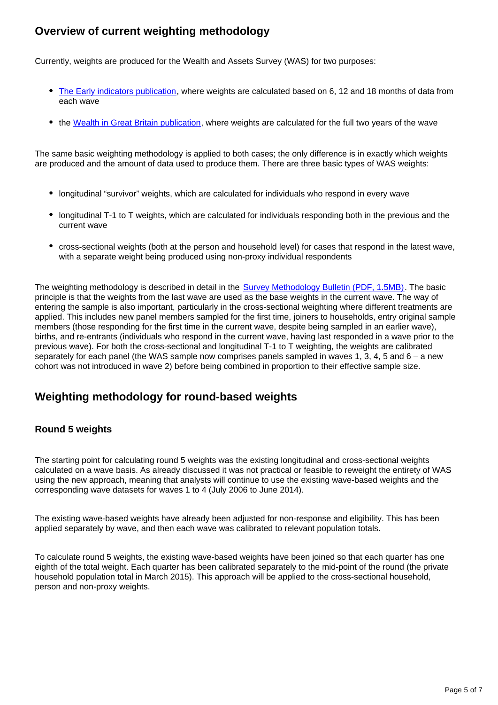## **Overview of current weighting methodology**

Currently, weights are produced for the Wealth and Assets Survey (WAS) for two purposes:

- [The Early indicators publication](https://www.ons.gov.uk/peoplepopulationandcommunity/personalandhouseholdfinances/incomeandwealth/articles/earlyindicatorestimatesfromthewealthandassetssurvey/attitudestowardssavingforretirementautomaticenrolmentintoworkplacepensionscreditcommitmentsanddebtburdenjuly2016todecember2017), where weights are calculated based on 6, 12 and 18 months of data from each wave
- the [Wealth in Great Britain publication](https://www.ons.gov.uk/peoplepopulationandcommunity/personalandhouseholdfinances/incomeandwealth/bulletins/wealthingreatbritainwave5/2014to2016), where weights are calculated for the full two years of the wave

The same basic weighting methodology is applied to both cases; the only difference is in exactly which weights are produced and the amount of data used to produce them. There are three basic types of WAS weights:

- longitudinal "survivor" weights, which are calculated for individuals who respond in every wave
- longitudinal T-1 to T weights, which are calculated for individuals responding both in the previous and the current wave
- cross-sectional weights (both at the person and household level) for cases that respond in the latest wave, with a separate weight being produced using non-proxy individual respondents

The weighting methodology is described in detail in the [Survey Methodology Bulletin \(PDF, 1.5MB\).](https://www.ons.gov.uk/file?uri=/methodology/methodologicalpublications/generalmethodology/surveymethodologybulletin/surveymethodologybulletinno.75spring2016.pdf) The basic principle is that the weights from the last wave are used as the base weights in the current wave. The way of entering the sample is also important, particularly in the cross-sectional weighting where different treatments are applied. This includes new panel members sampled for the first time, joiners to households, entry original sample members (those responding for the first time in the current wave, despite being sampled in an earlier wave), births, and re-entrants (individuals who respond in the current wave, having last responded in a wave prior to the previous wave). For both the cross-sectional and longitudinal T-1 to T weighting, the weights are calibrated separately for each panel (the WAS sample now comprises panels sampled in waves 1, 3, 4, 5 and 6 – a new cohort was not introduced in wave 2) before being combined in proportion to their effective sample size.

## **Weighting methodology for round-based weights**

### **Round 5 weights**

The starting point for calculating round 5 weights was the existing longitudinal and cross-sectional weights calculated on a wave basis. As already discussed it was not practical or feasible to reweight the entirety of WAS using the new approach, meaning that analysts will continue to use the existing wave-based weights and the corresponding wave datasets for waves 1 to 4 (July 2006 to June 2014).

The existing wave-based weights have already been adjusted for non-response and eligibility. This has been applied separately by wave, and then each wave was calibrated to relevant population totals.

To calculate round 5 weights, the existing wave-based weights have been joined so that each quarter has one eighth of the total weight. Each quarter has been calibrated separately to the mid-point of the round (the private household population total in March 2015). This approach will be applied to the cross-sectional household, person and non-proxy weights.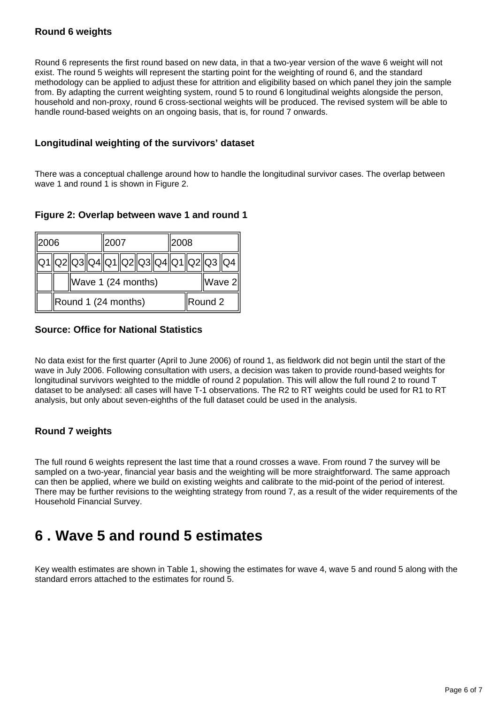### **Round 6 weights**

Round 6 represents the first round based on new data, in that a two-year version of the wave 6 weight will not exist. The round 5 weights will represent the starting point for the weighting of round 6, and the standard methodology can be applied to adjust these for attrition and eligibility based on which panel they join the sample from. By adapting the current weighting system, round 5 to round 6 longitudinal weights alongside the person, household and non-proxy, round 6 cross-sectional weights will be produced. The revised system will be able to handle round-based weights on an ongoing basis, that is, for round 7 onwards.

### **Longitudinal weighting of the survivors' dataset**

There was a conceptual challenge around how to handle the longitudinal survivor cases. The overlap between wave 1 and round 1 is shown in Figure 2.

### **Figure 2: Overlap between wave 1 and round 1**



### **Source: Office for National Statistics**

No data exist for the first quarter (April to June 2006) of round 1, as fieldwork did not begin until the start of the wave in July 2006. Following consultation with users, a decision was taken to provide round-based weights for longitudinal survivors weighted to the middle of round 2 population. This will allow the full round 2 to round T dataset to be analysed: all cases will have T-1 observations. The R2 to RT weights could be used for R1 to RT analysis, but only about seven-eighths of the full dataset could be used in the analysis.

### **Round 7 weights**

The full round 6 weights represent the last time that a round crosses a wave. From round 7 the survey will be sampled on a two-year, financial year basis and the weighting will be more straightforward. The same approach can then be applied, where we build on existing weights and calibrate to the mid-point of the period of interest. There may be further revisions to the weighting strategy from round 7, as a result of the wider requirements of the Household Financial Survey.

## <span id="page-5-0"></span>**6 . Wave 5 and round 5 estimates**

Key wealth estimates are shown in Table 1, showing the estimates for wave 4, wave 5 and round 5 along with the standard errors attached to the estimates for round 5.